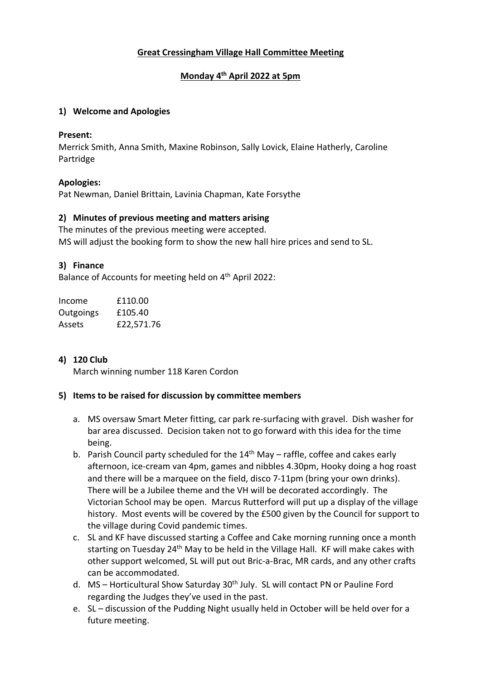# **Great Cressingham Village Hall Committee Meeting**

## **Monday 4th April 2022 at 5pm**

### **1) Welcome and Apologies**

#### **Present:**

Merrick Smith, Anna Smith, Maxine Robinson, Sally Lovick, Elaine Hatherly, Caroline Partridge

### **Apologies:**

Pat Newman, Daniel Brittain, Lavinia Chapman, Kate Forsythe

### **2) Minutes of previous meeting and matters arising**

The minutes of the previous meeting were accepted. MS will adjust the booking form to show the new hall hire prices and send to SL.

### **3) Finance**

Balance of Accounts for meeting held on 4<sup>th</sup> April 2022:

| Income    | £110.00    |
|-----------|------------|
| Outgoings | £105.40    |
| Assets    | £22,571.76 |

## **4) 120 Club**

March winning number 118 Karen Cordon

#### **5) Items to be raised for discussion by committee members**

- a. MS oversaw Smart Meter fitting, car park re-surfacing with gravel. Dish washer for bar area discussed. Decision taken not to go forward with this idea for the time being.
- b. Parish Council party scheduled for the  $14<sup>th</sup>$  May raffle, coffee and cakes early afternoon, ice-cream van 4pm, games and nibbles 4.30pm, Hooky doing a hog roast and there will be a marquee on the field, disco 7-11pm (bring your own drinks). There will be a Jubilee theme and the VH will be decorated accordingly. The Victorian School may be open. Marcus Rutterford will put up a display of the village history. Most events will be covered by the £500 given by the Council for support to the village during Covid pandemic times.
- c. SL and KF have discussed starting a Coffee and Cake morning running once a month starting on Tuesday 24<sup>th</sup> May to be held in the Village Hall. KF will make cakes with other support welcomed, SL will put out Bric-a-Brac, MR cards, and any other crafts can be accommodated.
- d. MS Horticultural Show Saturday 30<sup>th</sup> July. SL will contact PN or Pauline Ford regarding the Judges they've used in the past.
- e. SL discussion of the Pudding Night usually held in October will be held over for a future meeting.